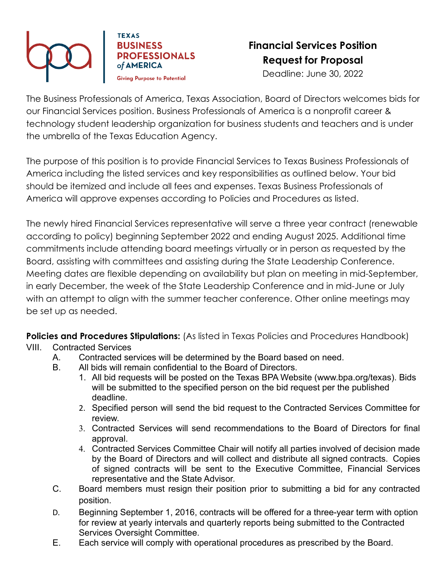

**TEXAS BUSINESS PROFESSIONALS** of AMERICA **Givina Purpose to Potential** 

## **Financial Services Position Request for Proposal** Deadline: June 30, 2022

The Business Professionals of America, Texas Association, Board of Directors welcomes bids for our Financial Services position. Business Professionals of America is a nonprofit career & technology student leadership organization for business students and teachers and is under the umbrella of the Texas Education Agency.

The purpose of this position is to provide Financial Services to Texas Business Professionals of America including the listed services and key responsibilities as outlined below. Your bid should be itemized and include all fees and expenses. Texas Business Professionals of America will approve expenses according to Policies and Procedures as listed.

The newly hired Financial Services representative will serve a three year contract (renewable according to policy) beginning September 2022 and ending August 2025. Additional time commitments include attending board meetings virtually or in person as requested by the Board, assisting with committees and assisting during the State Leadership Conference. Meeting dates are flexible depending on availability but plan on meeting in mid-September, in early December, the week of the State Leadership Conference and in mid-June or July with an attempt to align with the summer teacher conference. Other online meetings may be set up as needed.

**Policies and Procedures Stipulations:** (As listed in Texas Policies and Procedures Handbook)

- VIII. Contracted Services
	- A. Contracted services will be determined by the Board based on need.
	- B. All bids will remain confidential to the Board of Directors.
		- 1. All bid requests will be posted on the Texas BPA Website (www.bpa.org/texas). Bids will be submitted to the specified person on the bid request per the published deadline.
		- 2. Specified person will send the bid request to the Contracted Services Committee for review.
		- 3. Contracted Services will send recommendations to the Board of Directors for final approval.
		- 4. Contracted Services Committee Chair will notify all parties involved of decision made by the Board of Directors and will collect and distribute all signed contracts. Copies of signed contracts will be sent to the Executive Committee, Financial Services representative and the State Advisor.
	- C. Board members must resign their position prior to submitting a bid for any contracted position.
	- D. Beginning September 1, 2016, contracts will be offered for a three-year term with option for review at yearly intervals and quarterly reports being submitted to the Contracted Services Oversight Committee.
	- E. Each service will comply with operational procedures as prescribed by the Board.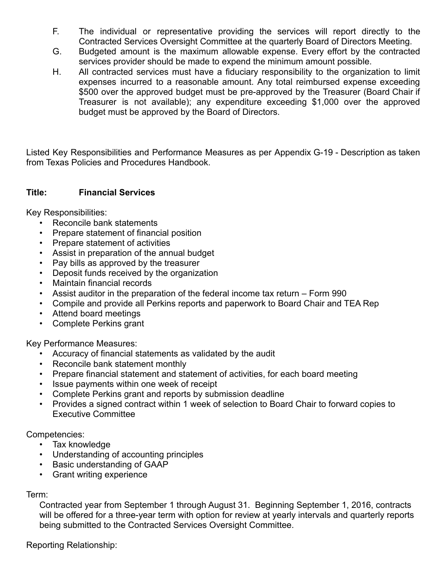- F. The individual or representative providing the services will report directly to the Contracted Services Oversight Committee at the quarterly Board of Directors Meeting.
- G. Budgeted amount is the maximum allowable expense. Every effort by the contracted services provider should be made to expend the minimum amount possible.
- H. All contracted services must have a fiduciary responsibility to the organization to limit expenses incurred to a reasonable amount. Any total reimbursed expense exceeding \$500 over the approved budget must be pre-approved by the Treasurer (Board Chair if Treasurer is not available); any expenditure exceeding \$1,000 over the approved budget must be approved by the Board of Directors.

Listed Key Responsibilities and Performance Measures as per Appendix G-19 - Description as taken from Texas Policies and Procedures Handbook.

## **Title: Financial Services**

Key Responsibilities:

- Reconcile bank statements
- Prepare statement of financial position
- Prepare statement of activities
- Assist in preparation of the annual budget
- Pay bills as approved by the treasurer
- Deposit funds received by the organization
- Maintain financial records
- Assist auditor in the preparation of the federal income tax return Form 990
- Compile and provide all Perkins reports and paperwork to Board Chair and TEA Rep
- Attend board meetings
- Complete Perkins grant

Key Performance Measures:

- Accuracy of financial statements as validated by the audit
- Reconcile bank statement monthly
- Prepare financial statement and statement of activities, for each board meeting
- Issue payments within one week of receipt
- Complete Perkins grant and reports by submission deadline
- Provides a signed contract within 1 week of selection to Board Chair to forward copies to Executive Committee

Competencies:

- Tax knowledge
- Understanding of accounting principles
- Basic understanding of GAAP
- Grant writing experience

## Term:

Contracted year from September 1 through August 31. Beginning September 1, 2016, contracts will be offered for a three-year term with option for review at yearly intervals and quarterly reports being submitted to the Contracted Services Oversight Committee.

Reporting Relationship: